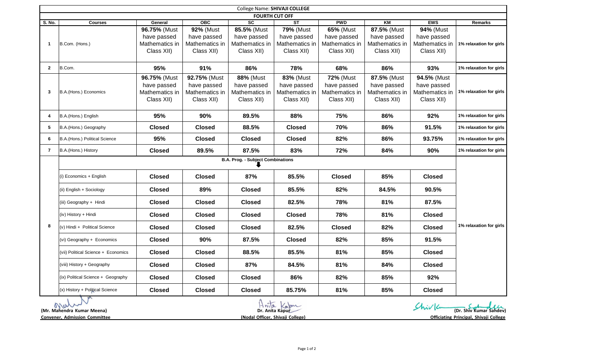| College Name: SHIVAJI COLLEGE |                                          |                                                             |                                                                 |                                                                 |                                                                 |                                                                 |                                                            |                                                            |                         |
|-------------------------------|------------------------------------------|-------------------------------------------------------------|-----------------------------------------------------------------|-----------------------------------------------------------------|-----------------------------------------------------------------|-----------------------------------------------------------------|------------------------------------------------------------|------------------------------------------------------------|-------------------------|
| <b>FOURTH CUT OFF</b>         |                                          |                                                             |                                                                 |                                                                 |                                                                 |                                                                 |                                                            |                                                            |                         |
| S. No.                        | <b>Courses</b>                           | General                                                     | OBC                                                             | $\overline{sc}$                                                 | $\overline{\text{ST}}$                                          | <b>PWD</b>                                                      | KM                                                         | <b>EWS</b>                                                 | <b>Remarks</b>          |
| $\mathbf{1}$                  | B.Com. (Hons.)                           | 96.75% (Must<br>have passed<br>Mathematics in<br>Class XII) | <b>92% (Must</b><br>have passed<br>Mathematics in<br>Class XII) | 85.5% (Must<br>have passed<br>Mathematics in<br>Class XII)      | <b>79% (Must</b><br>have passed<br>Mathematics in<br>Class XII) | <b>65% (Must</b><br>have passed<br>Mathematics in<br>Class XII) | 87.5% (Must<br>have passed<br>Mathematics in<br>Class XII) | 94% (Must<br>have passed<br>Mathematics in<br>Class XII)   | 1% relaxation for girls |
| $\mathbf{2}$                  | B.Com.                                   | 95%                                                         | 91%                                                             | 86%                                                             | 78%                                                             | 68%                                                             | 86%                                                        | 93%                                                        | 1% relaxation for girls |
| 3                             | B.A.(Hons.) Economics                    | 96.75% (Must<br>have passed<br>Mathematics in<br>Class XII) | 92.75% (Must<br>have passed<br>Mathematics in<br>Class XII)     | <b>88% (Must</b><br>have passed<br>Mathematics in<br>Class XII) | <b>83% (Must</b><br>have passed<br>Mathematics in<br>Class XII) | <b>72% (Must</b><br>have passed<br>Mathematics in<br>Class XII) | 87.5% (Must<br>have passed<br>Mathematics in<br>Class XII) | 94.5% (Must<br>have passed<br>Mathematics in<br>Class XII) | 1% relaxation for girls |
| 4                             | B.A.(Hons.) English                      | 95%                                                         | 90%                                                             | 89.5%                                                           | 88%                                                             | 75%                                                             | 86%                                                        | 92%                                                        | 1% relaxation for girls |
| 5                             | B.A.(Hons.) Geography                    | <b>Closed</b>                                               | <b>Closed</b>                                                   | 88.5%                                                           | <b>Closed</b>                                                   | 70%                                                             | 86%                                                        | 91.5%                                                      | 1% relaxation for girls |
| 6                             | B.A.(Hons.) Political Science            | 95%                                                         | <b>Closed</b>                                                   | <b>Closed</b>                                                   | <b>Closed</b>                                                   | 82%                                                             | 86%                                                        | 93.75%                                                     | 1% relaxation for girls |
| $\overline{7}$                | B.A.(Hons.) History                      | <b>Closed</b>                                               | 89.5%                                                           | 87.5%                                                           | 83%                                                             | 72%                                                             | 84%                                                        | 90%                                                        | 1% relaxation for girls |
|                               | <b>B.A. Prog. - Subject Combinations</b> |                                                             |                                                                 |                                                                 |                                                                 |                                                                 |                                                            |                                                            |                         |
| 8                             | (i) Economics + English                  | <b>Closed</b>                                               | <b>Closed</b>                                                   | 87%                                                             | 85.5%                                                           | <b>Closed</b>                                                   | 85%                                                        | <b>Closed</b>                                              | 1% relaxation for girls |
|                               | (ii) English + Sociology                 | <b>Closed</b>                                               | 89%                                                             | <b>Closed</b>                                                   | 85.5%                                                           | 82%                                                             | 84.5%                                                      | 90.5%                                                      |                         |
|                               | (iii) Geography + Hindi                  | <b>Closed</b>                                               | <b>Closed</b>                                                   | <b>Closed</b>                                                   | 82.5%                                                           | 78%                                                             | 81%                                                        | 87.5%                                                      |                         |
|                               | (iv) History + Hindi                     | <b>Closed</b>                                               | <b>Closed</b>                                                   | <b>Closed</b>                                                   | <b>Closed</b>                                                   | 78%                                                             | 81%                                                        | <b>Closed</b>                                              |                         |
|                               | (v) Hindi + Political Science            | <b>Closed</b>                                               | <b>Closed</b>                                                   | <b>Closed</b>                                                   | 82.5%                                                           | <b>Closed</b>                                                   | 82%                                                        | <b>Closed</b>                                              |                         |
|                               | (vi) Geography + Economics               | <b>Closed</b>                                               | 90%                                                             | 87.5%                                                           | <b>Closed</b>                                                   | 82%                                                             | 85%                                                        | 91.5%                                                      |                         |
|                               | (vii) Political Science + Economics      | <b>Closed</b>                                               | <b>Closed</b>                                                   | 88.5%                                                           | 85.5%                                                           | 81%                                                             | 85%                                                        | <b>Closed</b>                                              |                         |
|                               | (viii) History + Geography               | <b>Closed</b>                                               | <b>Closed</b>                                                   | 87%                                                             | 84.5%                                                           | 81%                                                             | 84%                                                        | <b>Closed</b>                                              |                         |
|                               | (ix) Political Science + Geography       | <b>Closed</b>                                               | <b>Closed</b>                                                   | <b>Closed</b>                                                   | 86%                                                             | 82%                                                             | 85%                                                        | 92%                                                        |                         |
|                               | (x) History + Political Science          | <b>Closed</b>                                               | <b>Closed</b>                                                   | <b>Closed</b>                                                   | 85.75%                                                          | 81%                                                             | 85%                                                        | <b>Closed</b>                                              |                         |

| <b>AVAID</b><br>(Mr. Mahendra Kumar Meena) | $n_{12}$<br>about<br>Dr. Anita Kapur | (Dr. Shiv Kumar Sahdev)                |
|--------------------------------------------|--------------------------------------|----------------------------------------|
| <b>Convener, Admission Committee</b>       | (Nodal Officer, Shivaji College)     | Officiating Principal, Shivaji College |